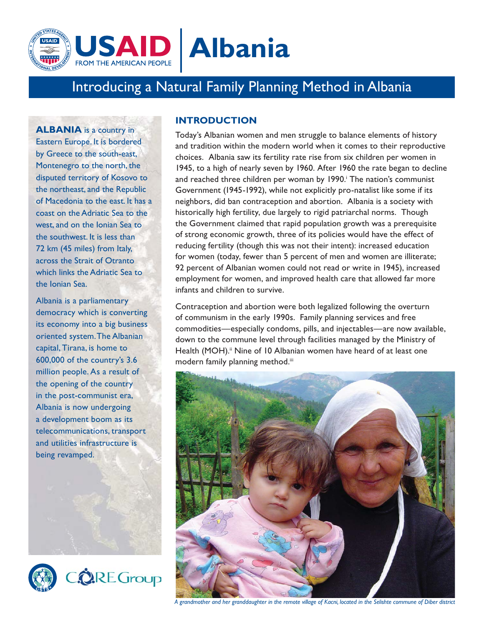

# Introducing a Natural Family Planning Method in Albania

**ALBANIA** is a country in Eastern Europe. It is bordered by Greece to the south-east, Montenegro to the north, the disputed territory of Kosovo to the northeast, and the Republic of Macedonia to the east. It has a coast on the Adriatic Sea to the west, and on the Ionian Sea to the southwest. It is less than 72 km (45 miles) from Italy, across the Strait of Otranto which links the Adriatic Sea to the Ionian Sea.

Albania is a parliamentary democracy which is converting its economy into a big business oriented system. The Albanian capital, Tirana, is home to 600,000 of the country's 3.6 million people. As a result of the opening of the country in the post-communist era, Albania is now undergoing a development boom as its telecommunications, transport and utilities infrastructure is being revamped.



**+**

### **INTRODUCTION**

Today's Albanian women and men struggle to balance elements of history and tradition within the modern world when it comes to their reproductive choices. Albania saw its fertility rate rise from six children per women in 1945, to a high of nearly seven by 1960. After 1960 the rate began to decline and reached three children per woman by 1990.<sup>†</sup> The nation's communist Government (1945-1992), while not explicitly pro-natalist like some if its neighbors, did ban contraception and abortion. Albania is a society with historically high fertility, due largely to rigid patriarchal norms. Though the Government claimed that rapid population growth was a prerequisite of strong economic growth, three of its policies would have the effect of reducing fertility (though this was not their intent): increased education for women (today, fewer than 5 percent of men and women are illiterate; 92 percent of Albanian women could not read or write in 1945), increased employment for women, and improved health care that allowed far more infants and children to survive.

Contraception and abortion were both legalized following the overturn of communism in the early 1990s. Family planning services and free commodities—especially condoms, pills, and injectables—are now available, down to the commune level through facilities managed by the Ministry of Health (MOH).<sup>ii</sup> Nine of 10 Albanian women have heard of at least one modern family planning method.iii



*A grandmother and her granddaughter in the remote village of Kacni, located in the Selishte commune of Diber district*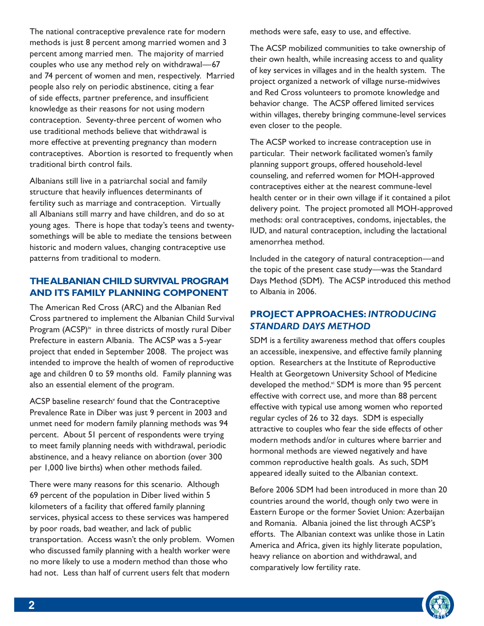The national contraceptive prevalence rate for modern methods is just 8 percent among married women and 3 percent among married men. The majority of married couples who use any method rely on withdrawal—67 and 74 percent of women and men, respectively. Married people also rely on periodic abstinence, citing a fear of side effects, partner preference, and insufficient knowledge as their reasons for not using modern contraception. Seventy-three percent of women who use traditional methods believe that withdrawal is more effective at preventing pregnancy than modern contraceptives. Abortion is resorted to frequently when traditional birth control fails.

Albanians still live in a patriarchal social and family structure that heavily influences determinants of fertility such as marriage and contraception. Virtually all Albanians still marry and have children, and do so at young ages. There is hope that today's teens and twentysomethings will be able to mediate the tensions between historic and modern values, changing contraceptive use patterns from traditional to modern.

## **THE ALBANIAN CHILD SURVIVAL PROGRAM AND ITS FAMILY PLANNING COMPONENT**

The American Red Cross (ARC) and the Albanian Red Cross partnered to implement the Albanian Child Survival Program (ACSP)<sup>iv</sup> in three districts of mostly rural Diber Prefecture in eastern Albania. The ACSP was a 5-year project that ended in September 2008. The project was intended to improve the health of women of reproductive age and children 0 to 59 months old. Family planning was also an essential element of the program.

ACSP baseline research<sup>y</sup> found that the Contraceptive Prevalence Rate in Diber was just 9 percent in 2003 and unmet need for modern family planning methods was 94 percent. About 51 percent of respondents were trying to meet family planning needs with withdrawal, periodic abstinence, and a heavy reliance on abortion (over 300 per 1,000 live births) when other methods failed.

There were many reasons for this scenario. Although 69 percent of the population in Diber lived within 5 kilometers of a facility that offered family planning services, physical access to these services was hampered by poor roads, bad weather, and lack of public transportation. Access wasn't the only problem. Women who discussed family planning with a health worker were no more likely to use a modern method than those who had not. Less than half of current users felt that modern

methods were safe, easy to use, and effective.

The ACSP mobilized communities to take ownership of their own health, while increasing access to and quality of key services in villages and in the health system. The project organized a network of village nurse-midwives and Red Cross volunteers to promote knowledge and behavior change. The ACSP offered limited services within villages, thereby bringing commune-level services even closer to the people.

The ACSP worked to increase contraception use in particular. Their network facilitated women's family planning support groups, offered household-level counseling, and referred women for MOH-approved contraceptives either at the nearest commune-level health center or in their own village if it contained a pilot delivery point. The project promoted all MOH-approved methods: oral contraceptives, condoms, injectables, the IUD, and natural contraception, including the lactational amenorrhea method.

Included in the category of natural contraception—and the topic of the present case study—was the Standard Days Method (SDM). The ACSP introduced this method to Albania in 2006.

## **PROJECT APPROACHES:** *INTRODUCING STANDARD DAYS METHOD*

SDM is a fertility awareness method that offers couples an accessible, inexpensive, and effective family planning option. Researchers at the Institute of Reproductive Health at Georgetown University School of Medicine developed the method.vi SDM is more than 95 percent effective with correct use, and more than 88 percent effective with typical use among women who reported regular cycles of 26 to 32 days. SDM is especially attractive to couples who fear the side effects of other modern methods and/or in cultures where barrier and hormonal methods are viewed negatively and have common reproductive health goals. As such, SDM appeared ideally suited to the Albanian context.

Before 2006 SDM had been introduced in more than 20 countries around the world, though only two were in Eastern Europe or the former Soviet Union: Azerbaijan and Romania. Albania joined the list through ACSP's efforts. The Albanian context was unlike those in Latin America and Africa, given its highly literate population, heavy reliance on abortion and withdrawal, and comparatively low fertility rate.

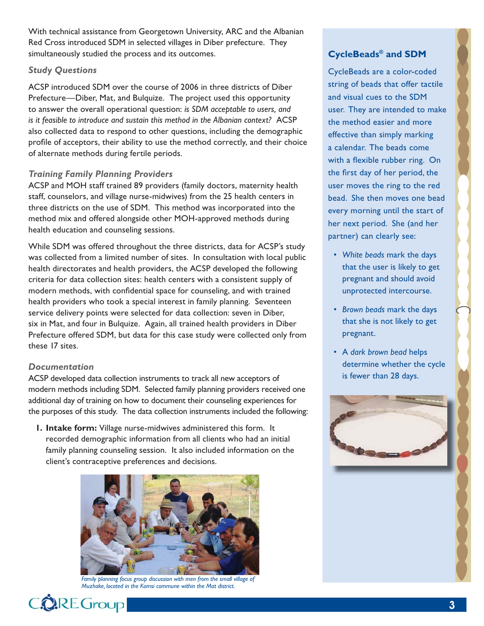With technical assistance from Georgetown University, ARC and the Albanian Red Cross introduced SDM in selected villages in Diber prefecture. They simultaneously studied the process and its outcomes.

#### *Study Questions*

ACSP introduced SDM over the course of 2006 in three districts of Diber Prefecture—Diber, Mat, and Bulquize. The project used this opportunity to answer the overall operational question: *is SDM acceptable to users, and is it feasible to introduce and sustain this method in the Albanian context?* ACSP also collected data to respond to other questions, including the demographic profile of acceptors, their ability to use the method correctly, and their choice of alternate methods during fertile periods.

### *Training Family Planning Providers*

ACSP and MOH staff trained 89 providers (family doctors, maternity health staff, counselors, and village nurse-midwives) from the 25 health centers in three districts on the use of SDM. This method was incorporated into the method mix and offered alongside other MOH-approved methods during health education and counseling sessions.

While SDM was offered throughout the three districts, data for ACSP's study was collected from a limited number of sites. In consultation with local public health directorates and health providers, the ACSP developed the following criteria for data collection sites: health centers with a consistent supply of modern methods, with confidential space for counseling, and with trained health providers who took a special interest in family planning. Seventeen service delivery points were selected for data collection: seven in Diber, six in Mat, and four in Bulquize. Again, all trained health providers in Diber Prefecture offered SDM, but data for this case study were collected only from these 17 sites.

#### *Documentation*

ACSP developed data collection instruments to track all new acceptors of modern methods including SDM. Selected family planning providers received one additional day of training on how to document their counseling experiences for the purposes of this study. The data collection instruments included the following:

**1. Intake form:** Village nurse-midwives administered this form. It recorded demographic information from all clients who had an initial family planning counseling session. It also included information on the client's contraceptive preferences and decisions.



Family planning focus group discussion with men from the small village of *Muzhake, located in the Komsi commune within the Mat district.*

## **CycleBeads® and SDM**

CycleBeads are a color-coded string of beads that offer tactile and visual cues to the SDM user. They are intended to make the method easier and more effective than simply marking a calendar. The beads come with a flexible rubber ring. On the first day of her period, the user moves the ring to the red bead. She then moves one bead every morning until the start of her next period. She (and her partner) can clearly see:

- *White beads* mark the days that the user is likely to get pregnant and should avoid unprotected intercourse.
- *Brown beads* mark the days that she is not likely to get pregnant.
- A *dark brown bead* helps determine whether the cycle is fewer than 28 days.



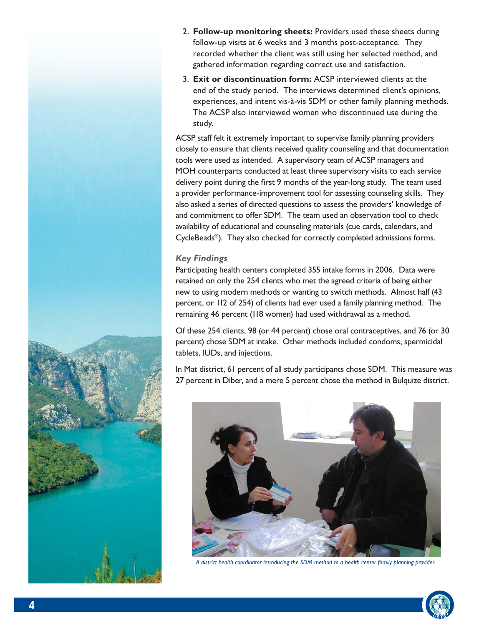- 2. Follow-up monitoring sheets: Providers used these sheets during follow-up visits at 6 weeks and 3 months post-acceptance. They recorded whether the client was still using her selected method, and gathered information regarding correct use and satisfaction.
- 3. **Exit or discontinuation form:** ACSP interviewed clients at the end of the study period. The interviews determined client's opinions, experiences, and intent vis-à-vis SDM or other family planning methods. The ACSP also interviewed women who discontinued use during the study.

ACSP staff felt it extremely important to supervise family planning providers closely to ensure that clients received quality counseling and that documentation tools were used as intended. A supervisory team of ACSP managers and MOH counterparts conducted at least three supervisory visits to each service delivery point during the first 9 months of the year-long study. The team used a provider performance-improvement tool for assessing counseling skills. They also asked a series of directed questions to assess the providers' knowledge of and commitment to offer SDM. The team used an observation tool to check availability of educational and counseling materials (cue cards, calendars, and CycleBeads®). They also checked for correctly completed admissions forms.

### *Key Findings*

Participating health centers completed 355 intake forms in 2006. Data were retained on only the 254 clients who met the agreed criteria of being either new to using modern methods or wanting to switch methods. Almost half (43 percent, or 112 of 254) of clients had ever used a family planning method. The remaining 46 percent (118 women) had used withdrawal as a method.

Of these 254 clients, 98 (or 44 percent) chose oral contraceptives, and 76 (or 30 percent) chose SDM at intake. Other methods included condoms, spermicidal tablets, IUDs, and injections.

In Mat district, 61 percent of all study participants chose SDM. This measure was 27 percent in Diber, and a mere 5 percent chose the method in Bulquize district.



*A district health coordinator introducing the SDM method to a health center family planning provider.*

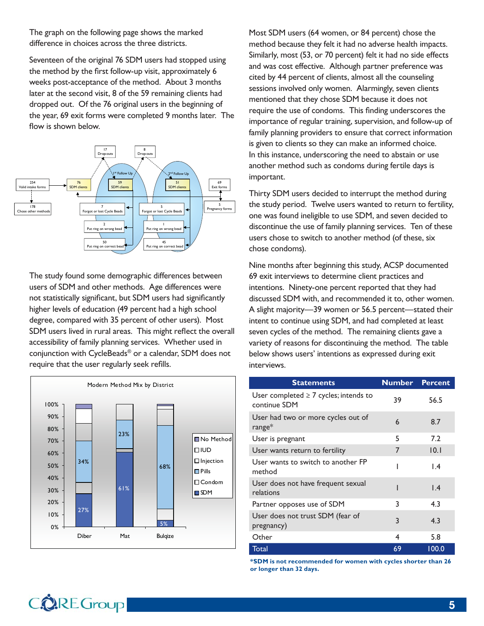The graph on the following page shows the marked difference in choices across the three districts.

Seventeen of the original 76 SDM users had stopped using the method by the first follow-up visit, approximately 6 weeks post-acceptance of the method. About 3 months later at the second visit, 8 of the 59 remaining clients had dropped out. Of the 76 original users in the beginning of the year, 69 exit forms were completed 9 months later. The flow is shown below.



The study found some demographic differences between users of SDM and other methods. Age differences were not statistically significant, but SDM users had significantly higher levels of education (49 percent had a high school degree, compared with 35 percent of other users). Most SDM users lived in rural areas. This might reflect the overall accessibility of family planning services. Whether used in conjunction with CycleBeads® or a calendar, SDM does not require that the user regularly seek refills.



Most SDM users (64 women, or 84 percent) chose the method because they felt it had no adverse health impacts. Similarly, most (53, or 70 percent) felt it had no side effects and was cost effective. Although partner preference was cited by 44 percent of clients, almost all the counseling sessions involved only women. Alarmingly, seven clients mentioned that they chose SDM because it does not require the use of condoms. This finding underscores the importance of regular training, supervision, and follow-up of family planning providers to ensure that correct information is given to clients so they can make an informed choice. In this instance, underscoring the need to abstain or use another method such as condoms during fertile days is important.

Thirty SDM users decided to interrupt the method during the study period. Twelve users wanted to return to fertility, one was found ineligible to use SDM, and seven decided to discontinue the use of family planning services. Ten of these users chose to switch to another method (of these, six chose condoms).

Nine months after beginning this study, ACSP documented 69 exit interviews to determine client practices and intentions. Ninety-one percent reported that they had discussed SDM with, and recommended it to, other women. A slight majority—39 women or 56.5 percent—stated their intent to continue using SDM, and had completed at least seven cycles of the method. The remaining clients gave a variety of reasons for discontinuing the method. The table below shows users' intentions as expressed during exit interviews.

| <b>Statements</b>                                          | <b>Number</b> | <b>Percent</b>  |
|------------------------------------------------------------|---------------|-----------------|
| User completed $\geq 7$ cycles; intends to<br>continue SDM | 39            | 56.5            |
| User had two or more cycles out of<br>$range*$             | $\epsilon$    | 8.7             |
| User is pregnant                                           | 5             | 7.2             |
| User wants return to fertility                             | 7             | 0.1             |
| User wants to switch to another FP<br>method               | ı             | $\mathsf{L}$    |
| User does not have frequent sexual<br>relations            |               | $\mathsf{I}$ .4 |
| Partner opposes use of SDM                                 | 3             | 4.3             |
| User does not trust SDM (fear of<br>pregnancy)             | 3             | 4.3             |
| Other                                                      | 4             | 5.8             |
| Total                                                      | 69            | 100.0           |

**\*SDM is not recommended for women with cycles shorter than 26 or longer than 32 days.**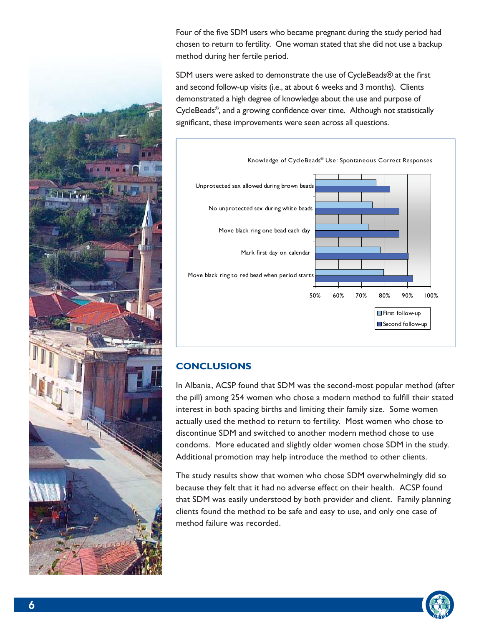Four of the five SDM users who became pregnant during the study period had chosen to return to fertility. One woman stated that she did not use a backup method during her fertile period.

SDM users were asked to demonstrate the use of CycleBeads® at the first and second follow-up visits (i.e., at about 6 weeks and 3 months). Clients demonstrated a high degree of knowledge about the use and purpose of CycleBeads<sup>®</sup>, and a growing confidence over time. Although not statistically significant, these improvements were seen across all questions.



# **CONCLUSIONS**

In Albania, ACSP found that SDM was the second-most popular method (after the pill) among 254 women who chose a modern method to fulfill their stated interest in both spacing births and limiting their family size. Some women actually used the method to return to fertility. Most women who chose to discontinue SDM and switched to another modern method chose to use condoms. More educated and slightly older women chose SDM in the study. Additional promotion may help introduce the method to other clients.

The study results show that women who chose SDM overwhelmingly did so because they felt that it had no adverse effect on their health. ACSP found that SDM was easily understood by both provider and client. Family planning clients found the method to be safe and easy to use, and only one case of method failure was recorded.



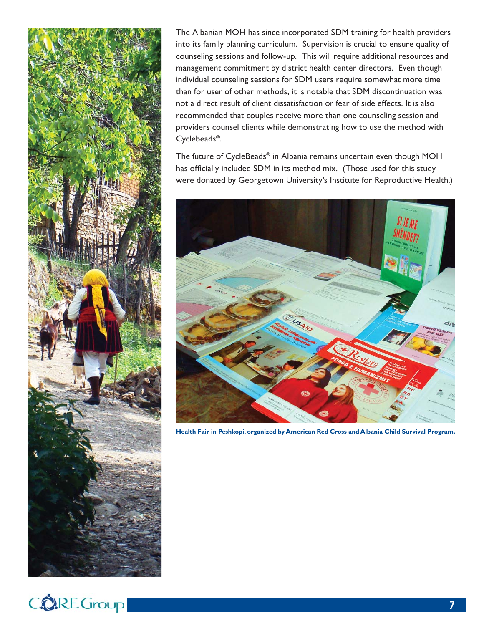

The Albanian MOH has since incorporated SDM training for health providers into its family planning curriculum. Supervision is crucial to ensure quality of counseling sessions and follow-up. This will require additional resources and management commitment by district health center directors. Even though individual counseling sessions for SDM users require somewhat more time than for user of other methods, it is notable that SDM discontinuation was not a direct result of client dissatisfaction or fear of side effects. It is also recommended that couples receive more than one counseling session and providers counsel clients while demonstrating how to use the method with Cyclebeads®.

The future of CycleBeads® in Albania remains uncertain even though MOH has officially included SDM in its method mix. (Those used for this study were donated by Georgetown University's Institute for Reproductive Health.)



**Health Fair in Peshkopi, organized by American Red Cross and Albania Child Survival Program.**